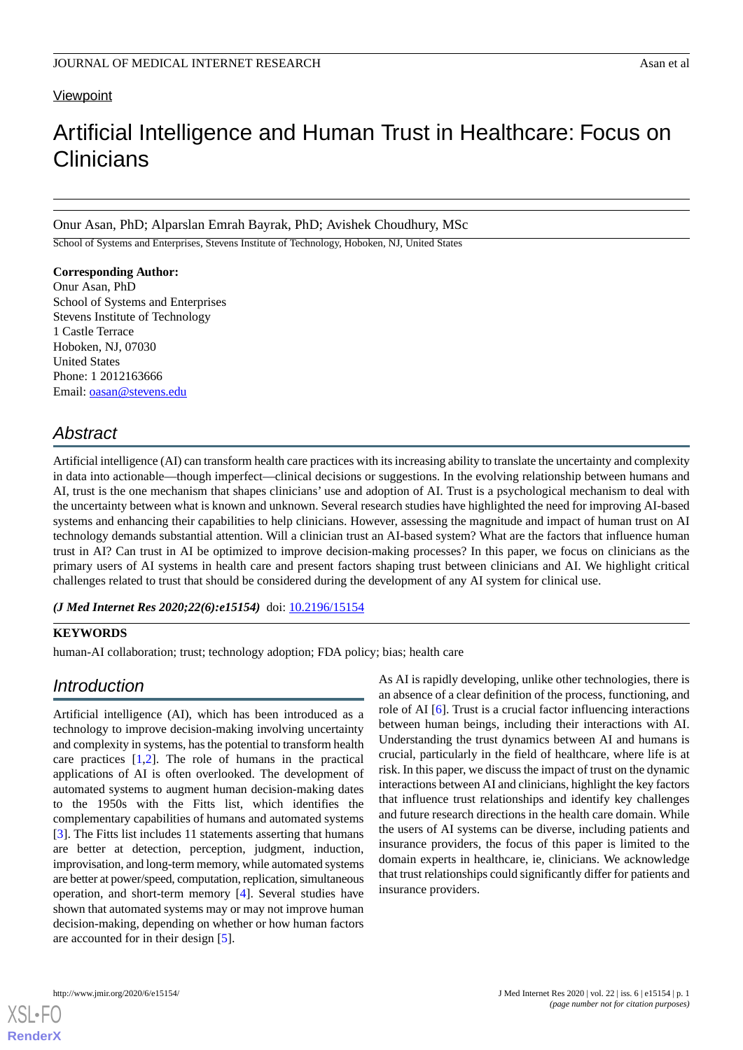## **Viewpoint**

# Artificial Intelligence and Human Trust in Healthcare: Focus on **Clinicians**

Onur Asan, PhD; Alparslan Emrah Bayrak, PhD; Avishek Choudhury, MSc

School of Systems and Enterprises, Stevens Institute of Technology, Hoboken, NJ, United States

### **Corresponding Author:**

Onur Asan, PhD School of Systems and Enterprises Stevens Institute of Technology 1 Castle Terrace Hoboken, NJ, 07030 United States Phone: 1 2012163666 Email: [oasan@stevens.edu](mailto:oasan@stevens.edu)

# *Abstract*

Artificial intelligence (AI) can transform health care practices with its increasing ability to translate the uncertainty and complexity in data into actionable—though imperfect—clinical decisions or suggestions. In the evolving relationship between humans and AI, trust is the one mechanism that shapes clinicians' use and adoption of AI. Trust is a psychological mechanism to deal with the uncertainty between what is known and unknown. Several research studies have highlighted the need for improving AI-based systems and enhancing their capabilities to help clinicians. However, assessing the magnitude and impact of human trust on AI technology demands substantial attention. Will a clinician trust an AI-based system? What are the factors that influence human trust in AI? Can trust in AI be optimized to improve decision-making processes? In this paper, we focus on clinicians as the primary users of AI systems in health care and present factors shaping trust between clinicians and AI. We highlight critical challenges related to trust that should be considered during the development of any AI system for clinical use.

*(J Med Internet Res 2020;22(6):e15154)* doi:  $10.2196/15154$ 

# **KEYWORDS**

human-AI collaboration; trust; technology adoption; FDA policy; bias; health care

# *Introduction*

Artificial intelligence (AI), which has been introduced as a technology to improve decision-making involving uncertainty and complexity in systems, has the potential to transform health care practices [\[1](#page-4-0),[2\]](#page-4-1). The role of humans in the practical applications of AI is often overlooked. The development of automated systems to augment human decision-making dates to the 1950s with the Fitts list, which identifies the complementary capabilities of humans and automated systems [[3\]](#page-4-2). The Fitts list includes 11 statements asserting that humans are better at detection, perception, judgment, induction, improvisation, and long-term memory, while automated systems are better at power/speed, computation, replication, simultaneous operation, and short-term memory [\[4](#page-4-3)]. Several studies have shown that automated systems may or may not improve human decision-making, depending on whether or how human factors are accounted for in their design [[5](#page-4-4)].

As AI is rapidly developing, unlike other technologies, there is an absence of a clear definition of the process, functioning, and role of AI [\[6](#page-4-5)]. Trust is a crucial factor influencing interactions between human beings, including their interactions with AI. Understanding the trust dynamics between AI and humans is crucial, particularly in the field of healthcare, where life is at risk. In this paper, we discuss the impact of trust on the dynamic interactions between AI and clinicians, highlight the key factors that influence trust relationships and identify key challenges and future research directions in the health care domain. While the users of AI systems can be diverse, including patients and insurance providers, the focus of this paper is limited to the domain experts in healthcare, ie, clinicians. We acknowledge that trust relationships could significantly differ for patients and insurance providers.



**[RenderX](http://www.renderx.com/)**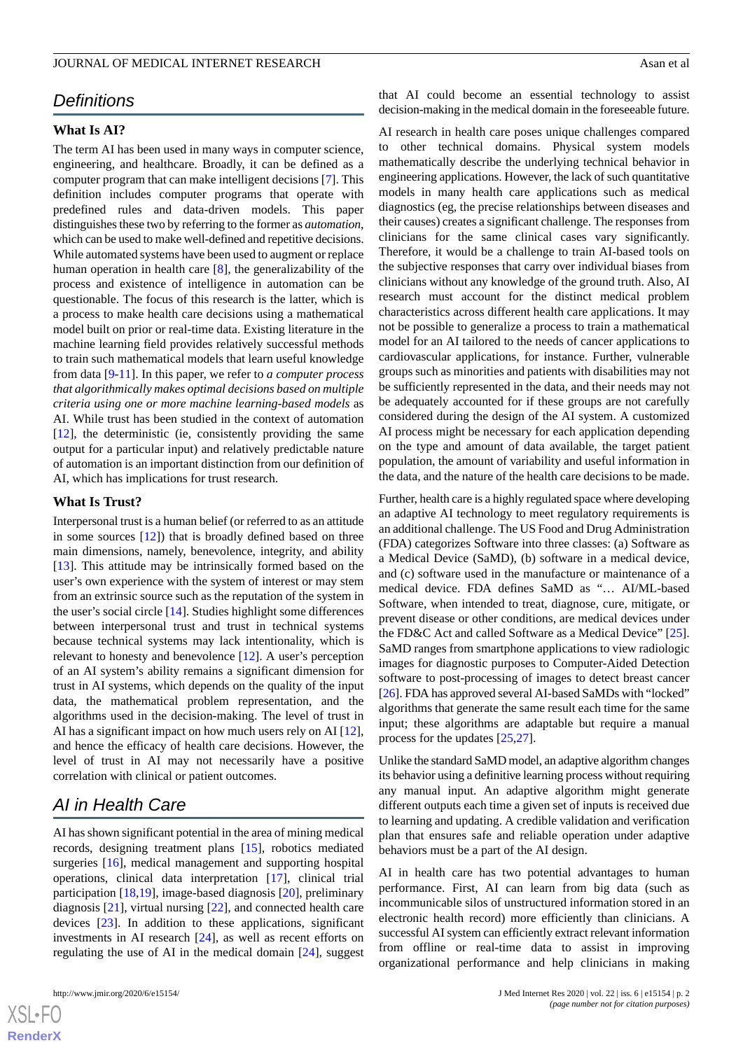# *Definitions*

### **What Is AI?**

The term AI has been used in many ways in computer science, engineering, and healthcare. Broadly, it can be defined as a computer program that can make intelligent decisions [[7\]](#page-4-6). This definition includes computer programs that operate with predefined rules and data-driven models. This paper distinguishes these two by referring to the former as *automation*, which can be used to make well-defined and repetitive decisions. While automated systems have been used to augment or replace human operation in health care [\[8](#page-4-7)], the generalizability of the process and existence of intelligence in automation can be questionable. The focus of this research is the latter, which is a process to make health care decisions using a mathematical model built on prior or real-time data. Existing literature in the machine learning field provides relatively successful methods to train such mathematical models that learn useful knowledge from data [[9](#page-4-8)[-11](#page-4-9)]. In this paper, we refer to *a computer process that algorithmically makes optimal decisions based on multiple criteria using one or more machine learning-based models* as AI. While trust has been studied in the context of automation [[12\]](#page-4-10), the deterministic (ie, consistently providing the same output for a particular input) and relatively predictable nature of automation is an important distinction from our definition of AI, which has implications for trust research.

#### **What Is Trust?**

Interpersonal trust is a human belief (or referred to as an attitude in some sources [\[12](#page-4-10)]) that is broadly defined based on three main dimensions, namely, benevolence, integrity, and ability [[13\]](#page-4-11). This attitude may be intrinsically formed based on the user's own experience with the system of interest or may stem from an extrinsic source such as the reputation of the system in the user's social circle [[14\]](#page-4-12). Studies highlight some differences between interpersonal trust and trust in technical systems because technical systems may lack intentionality, which is relevant to honesty and benevolence [[12\]](#page-4-10). A user's perception of an AI system's ability remains a significant dimension for trust in AI systems, which depends on the quality of the input data, the mathematical problem representation, and the algorithms used in the decision-making. The level of trust in AI has a significant impact on how much users rely on AI [[12\]](#page-4-10), and hence the efficacy of health care decisions. However, the level of trust in AI may not necessarily have a positive correlation with clinical or patient outcomes.

# *AI in Health Care*

AI has shown significant potential in the area of mining medical records, designing treatment plans [\[15](#page-4-13)], robotics mediated surgeries [[16\]](#page-4-14), medical management and supporting hospital operations, clinical data interpretation [[17\]](#page-5-0), clinical trial participation [[18,](#page-5-1)[19\]](#page-5-2), image-based diagnosis [[20\]](#page-5-3), preliminary diagnosis [\[21](#page-5-4)], virtual nursing [\[22](#page-5-5)], and connected health care devices [\[23](#page-5-6)]. In addition to these applications, significant investments in AI research [[24\]](#page-5-7), as well as recent efforts on regulating the use of AI in the medical domain [\[24](#page-5-7)], suggest

 $XS$  $\cdot$ FC **[RenderX](http://www.renderx.com/)** that AI could become an essential technology to assist decision-making in the medical domain in the foreseeable future.

AI research in health care poses unique challenges compared to other technical domains. Physical system models mathematically describe the underlying technical behavior in engineering applications. However, the lack of such quantitative models in many health care applications such as medical diagnostics (eg, the precise relationships between diseases and their causes) creates a significant challenge. The responses from clinicians for the same clinical cases vary significantly. Therefore, it would be a challenge to train AI-based tools on the subjective responses that carry over individual biases from clinicians without any knowledge of the ground truth. Also, AI research must account for the distinct medical problem characteristics across different health care applications. It may not be possible to generalize a process to train a mathematical model for an AI tailored to the needs of cancer applications to cardiovascular applications, for instance. Further, vulnerable groups such as minorities and patients with disabilities may not be sufficiently represented in the data, and their needs may not be adequately accounted for if these groups are not carefully considered during the design of the AI system. A customized AI process might be necessary for each application depending on the type and amount of data available, the target patient population, the amount of variability and useful information in the data, and the nature of the health care decisions to be made.

Further, health care is a highly regulated space where developing an adaptive AI technology to meet regulatory requirements is an additional challenge. The US Food and Drug Administration (FDA) categorizes Software into three classes: (a) Software as a Medical Device (SaMD), (b) software in a medical device, and (c) software used in the manufacture or maintenance of a medical device. FDA defines SaMD as "… AI/ML-based Software, when intended to treat, diagnose, cure, mitigate, or prevent disease or other conditions, are medical devices under the FD&C Act and called Software as a Medical Device" [[25\]](#page-5-8). SaMD ranges from smartphone applications to view radiologic images for diagnostic purposes to Computer-Aided Detection software to post-processing of images to detect breast cancer [[26\]](#page-5-9). FDA has approved several AI-based SaMDs with "locked" algorithms that generate the same result each time for the same input; these algorithms are adaptable but require a manual process for the updates [\[25](#page-5-8),[27\]](#page-5-10).

Unlike the standard SaMD model, an adaptive algorithm changes its behavior using a definitive learning process without requiring any manual input. An adaptive algorithm might generate different outputs each time a given set of inputs is received due to learning and updating. A credible validation and verification plan that ensures safe and reliable operation under adaptive behaviors must be a part of the AI design.

AI in health care has two potential advantages to human performance. First, AI can learn from big data (such as incommunicable silos of unstructured information stored in an electronic health record) more efficiently than clinicians. A successful AI system can efficiently extract relevant information from offline or real-time data to assist in improving organizational performance and help clinicians in making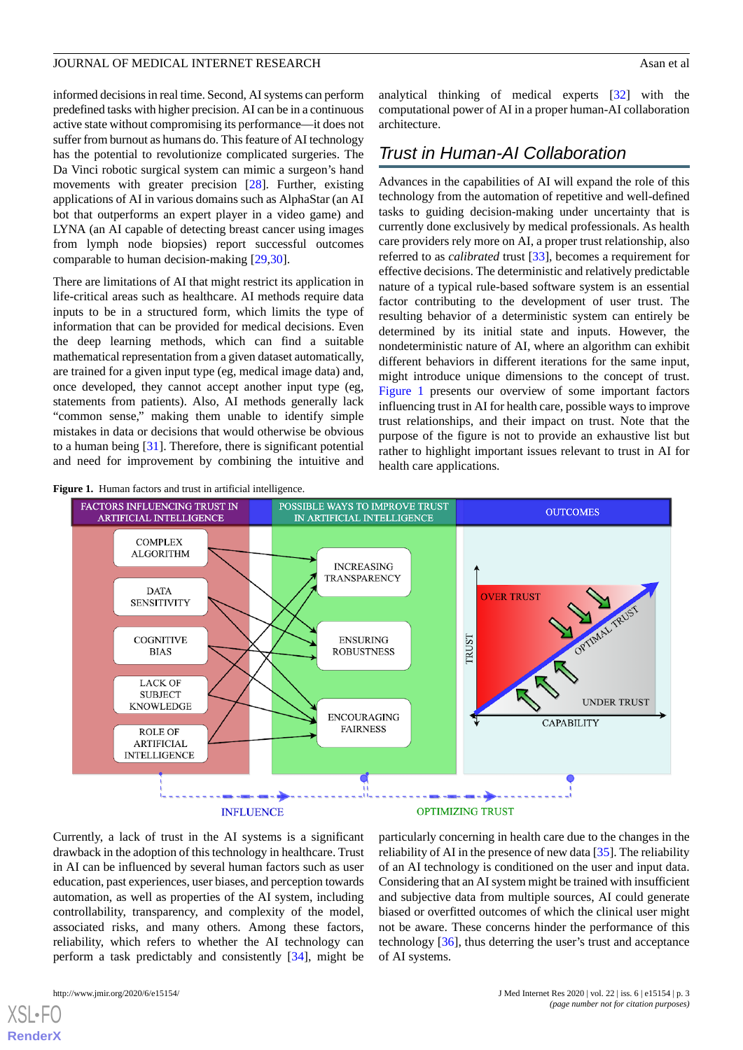informed decisions in real time. Second, AI systems can perform predefined tasks with higher precision. AI can be in a continuous active state without compromising its performance—it does not suffer from burnout as humans do. This feature of AI technology has the potential to revolutionize complicated surgeries. The Da Vinci robotic surgical system can mimic a surgeon's hand movements with greater precision [[28\]](#page-5-11). Further, existing applications of AI in various domains such as AlphaStar (an AI bot that outperforms an expert player in a video game) and LYNA (an AI capable of detecting breast cancer using images from lymph node biopsies) report successful outcomes comparable to human decision-making [\[29](#page-5-12),[30\]](#page-5-13).

There are limitations of AI that might restrict its application in life-critical areas such as healthcare. AI methods require data inputs to be in a structured form, which limits the type of information that can be provided for medical decisions. Even the deep learning methods, which can find a suitable mathematical representation from a given dataset automatically, are trained for a given input type (eg, medical image data) and, once developed, they cannot accept another input type (eg, statements from patients). Also, AI methods generally lack "common sense," making them unable to identify simple mistakes in data or decisions that would otherwise be obvious to a human being [[31\]](#page-5-14). Therefore, there is significant potential and need for improvement by combining the intuitive and

<span id="page-2-0"></span>

analytical thinking of medical experts [[32\]](#page-5-15) with the computational power of AI in a proper human-AI collaboration architecture.

# *Trust in Human-AI Collaboration*

Advances in the capabilities of AI will expand the role of this technology from the automation of repetitive and well-defined tasks to guiding decision-making under uncertainty that is currently done exclusively by medical professionals. As health care providers rely more on AI, a proper trust relationship, also referred to as *calibrated* trust [[33\]](#page-5-16), becomes a requirement for effective decisions. The deterministic and relatively predictable nature of a typical rule-based software system is an essential factor contributing to the development of user trust. The resulting behavior of a deterministic system can entirely be determined by its initial state and inputs. However, the nondeterministic nature of AI, where an algorithm can exhibit different behaviors in different iterations for the same input, might introduce unique dimensions to the concept of trust. [Figure 1](#page-2-0) presents our overview of some important factors influencing trust in AI for health care, possible ways to improve trust relationships, and their impact on trust. Note that the purpose of the figure is not to provide an exhaustive list but rather to highlight important issues relevant to trust in AI for health care applications.



Currently, a lack of trust in the AI systems is a significant drawback in the adoption of this technology in healthcare. Trust in AI can be influenced by several human factors such as user education, past experiences, user biases, and perception towards automation, as well as properties of the AI system, including controllability, transparency, and complexity of the model, associated risks, and many others. Among these factors, reliability, which refers to whether the AI technology can perform a task predictably and consistently [[34\]](#page-5-17), might be

particularly concerning in health care due to the changes in the reliability of AI in the presence of new data [[35\]](#page-5-18). The reliability of an AI technology is conditioned on the user and input data. Considering that an AI system might be trained with insufficient and subjective data from multiple sources, AI could generate biased or overfitted outcomes of which the clinical user might not be aware. These concerns hinder the performance of this technology [\[36](#page-5-19)], thus deterring the user's trust and acceptance of AI systems.

[XSL](http://www.w3.org/Style/XSL)•FO **[RenderX](http://www.renderx.com/)**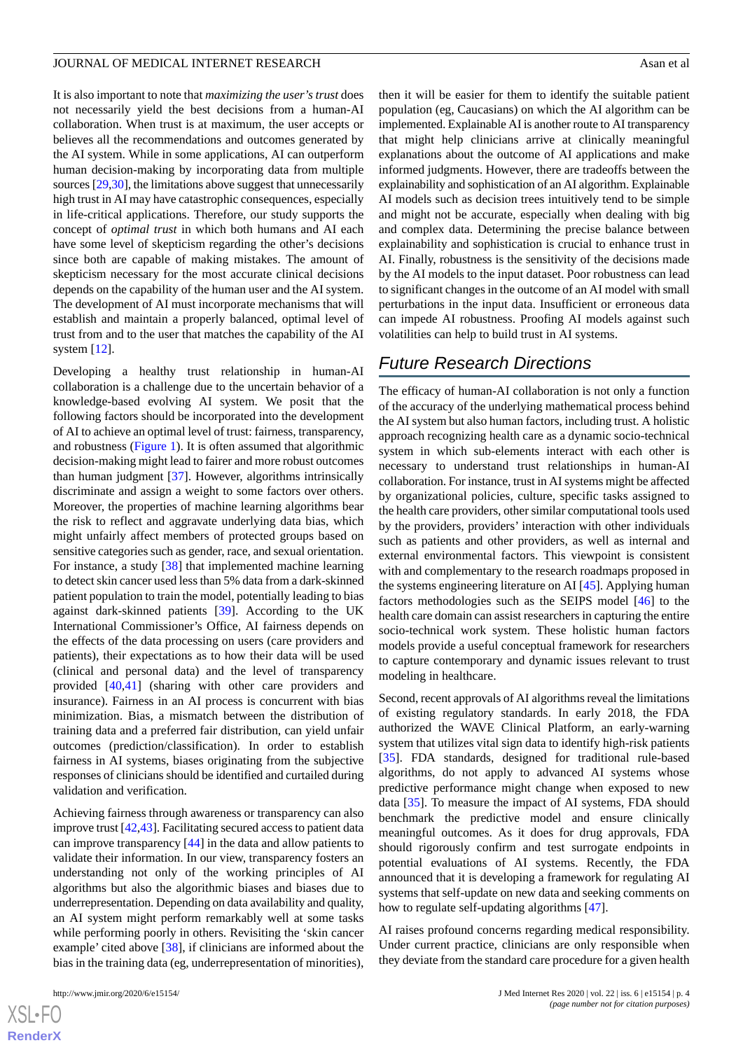It is also important to note that *maximizing the user's trust* does not necessarily yield the best decisions from a human-AI collaboration. When trust is at maximum, the user accepts or believes all the recommendations and outcomes generated by the AI system. While in some applications, AI can outperform human decision-making by incorporating data from multiple sources [\[29](#page-5-12),[30](#page-5-13)], the limitations above suggest that unnecessarily high trust in AI may have catastrophic consequences, especially in life-critical applications. Therefore, our study supports the concept of *optimal trust* in which both humans and AI each have some level of skepticism regarding the other's decisions since both are capable of making mistakes. The amount of skepticism necessary for the most accurate clinical decisions

depends on the capability of the human user and the AI system. The development of AI must incorporate mechanisms that will establish and maintain a properly balanced, optimal level of trust from and to the user that matches the capability of the AI system [\[12](#page-4-10)].

Developing a healthy trust relationship in human-AI collaboration is a challenge due to the uncertain behavior of a knowledge-based evolving AI system. We posit that the following factors should be incorporated into the development of AI to achieve an optimal level of trust: fairness, transparency, and robustness ([Figure 1](#page-2-0)). It is often assumed that algorithmic decision-making might lead to fairer and more robust outcomes than human judgment [[37\]](#page-5-20). However, algorithms intrinsically discriminate and assign a weight to some factors over others. Moreover, the properties of machine learning algorithms bear the risk to reflect and aggravate underlying data bias, which might unfairly affect members of protected groups based on sensitive categories such as gender, race, and sexual orientation. For instance, a study [[38\]](#page-5-21) that implemented machine learning to detect skin cancer used less than 5% data from a dark-skinned patient population to train the model, potentially leading to bias against dark-skinned patients [\[39](#page-5-22)]. According to the UK International Commissioner's Office, AI fairness depends on the effects of the data processing on users (care providers and patients), their expectations as to how their data will be used (clinical and personal data) and the level of transparency provided [[40,](#page-5-23)[41](#page-5-24)] (sharing with other care providers and insurance). Fairness in an AI process is concurrent with bias minimization. Bias, a mismatch between the distribution of training data and a preferred fair distribution, can yield unfair outcomes (prediction/classification). In order to establish fairness in AI systems, biases originating from the subjective responses of clinicians should be identified and curtailed during validation and verification.

Achieving fairness through awareness or transparency can also improve trust [\[42](#page-5-25)[,43](#page-6-0)]. Facilitating secured access to patient data can improve transparency [\[44](#page-6-1)] in the data and allow patients to validate their information. In our view, transparency fosters an understanding not only of the working principles of AI algorithms but also the algorithmic biases and biases due to underrepresentation. Depending on data availability and quality, an AI system might perform remarkably well at some tasks while performing poorly in others. Revisiting the 'skin cancer example' cited above [[38\]](#page-5-21), if clinicians are informed about the bias in the training data (eg, underrepresentation of minorities),

 $XS$ -FO **[RenderX](http://www.renderx.com/)** then it will be easier for them to identify the suitable patient population (eg, Caucasians) on which the AI algorithm can be implemented. Explainable AI is another route to AI transparency that might help clinicians arrive at clinically meaningful explanations about the outcome of AI applications and make informed judgments. However, there are tradeoffs between the explainability and sophistication of an AI algorithm. Explainable AI models such as decision trees intuitively tend to be simple and might not be accurate, especially when dealing with big and complex data. Determining the precise balance between explainability and sophistication is crucial to enhance trust in AI. Finally, robustness is the sensitivity of the decisions made by the AI models to the input dataset. Poor robustness can lead to significant changes in the outcome of an AI model with small perturbations in the input data. Insufficient or erroneous data can impede AI robustness. Proofing AI models against such volatilities can help to build trust in AI systems.

# *Future Research Directions*

The efficacy of human-AI collaboration is not only a function of the accuracy of the underlying mathematical process behind the AI system but also human factors, including trust. A holistic approach recognizing health care as a dynamic socio-technical system in which sub-elements interact with each other is necessary to understand trust relationships in human-AI collaboration. For instance, trust in AI systems might be affected by organizational policies, culture, specific tasks assigned to the health care providers, other similar computational tools used by the providers, providers' interaction with other individuals such as patients and other providers, as well as internal and external environmental factors. This viewpoint is consistent with and complementary to the research roadmaps proposed in the systems engineering literature on AI [[45\]](#page-6-2). Applying human factors methodologies such as the SEIPS model [\[46](#page-6-3)] to the health care domain can assist researchers in capturing the entire socio-technical work system. These holistic human factors models provide a useful conceptual framework for researchers to capture contemporary and dynamic issues relevant to trust modeling in healthcare.

Second, recent approvals of AI algorithms reveal the limitations of existing regulatory standards. In early 2018, the FDA authorized the WAVE Clinical Platform, an early-warning system that utilizes vital sign data to identify high-risk patients [[35\]](#page-5-18). FDA standards, designed for traditional rule-based algorithms, do not apply to advanced AI systems whose predictive performance might change when exposed to new data [[35\]](#page-5-18). To measure the impact of AI systems, FDA should benchmark the predictive model and ensure clinically meaningful outcomes. As it does for drug approvals, FDA should rigorously confirm and test surrogate endpoints in potential evaluations of AI systems. Recently, the FDA announced that it is developing a framework for regulating AI systems that self-update on new data and seeking comments on how to regulate self-updating algorithms [[47\]](#page-6-4).

AI raises profound concerns regarding medical responsibility. Under current practice, clinicians are only responsible when they deviate from the standard care procedure for a given health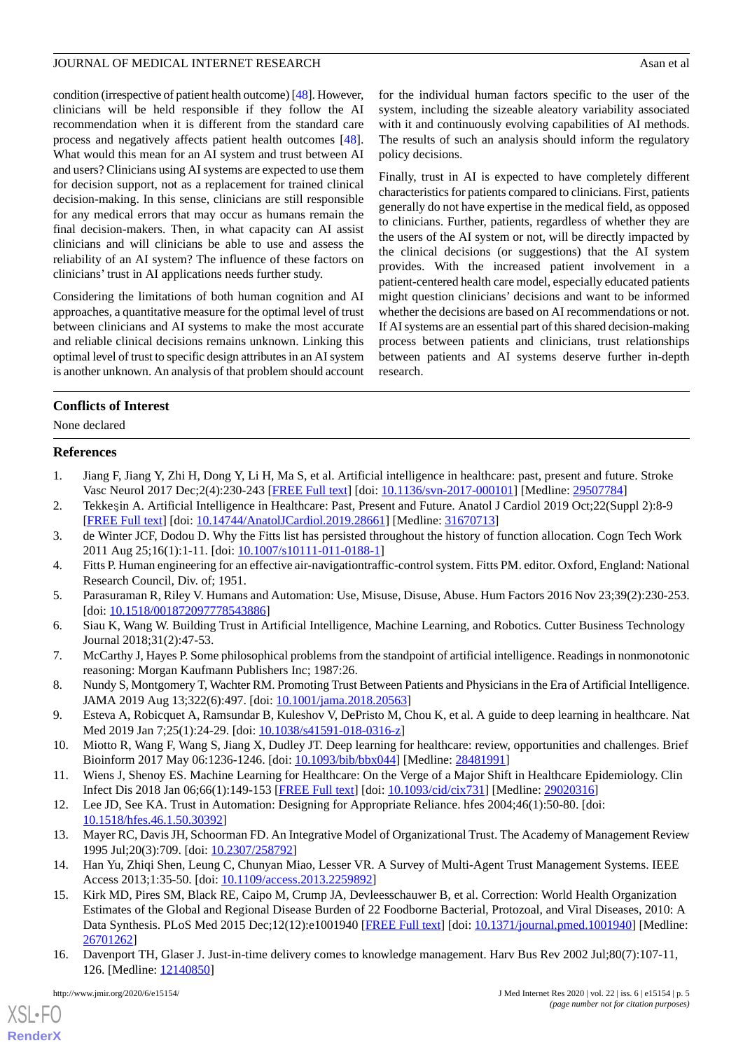condition (irrespective of patient health outcome) [\[48\]](#page-6-5). However, clinicians will be held responsible if they follow the AI recommendation when it is different from the standard care process and negatively affects patient health outcomes [[48\]](#page-6-5). What would this mean for an AI system and trust between AI and users? Clinicians using AI systems are expected to use them for decision support, not as a replacement for trained clinical decision-making. In this sense, clinicians are still responsible for any medical errors that may occur as humans remain the final decision-makers. Then, in what capacity can AI assist clinicians and will clinicians be able to use and assess the reliability of an AI system? The influence of these factors on clinicians' trust in AI applications needs further study.

Considering the limitations of both human cognition and AI approaches, a quantitative measure for the optimal level of trust between clinicians and AI systems to make the most accurate and reliable clinical decisions remains unknown. Linking this optimal level of trust to specific design attributes in an AI system is another unknown. An analysis of that problem should account

for the individual human factors specific to the user of the system, including the sizeable aleatory variability associated with it and continuously evolving capabilities of AI methods. The results of such an analysis should inform the regulatory policy decisions.

Finally, trust in AI is expected to have completely different characteristics for patients compared to clinicians. First, patients generally do not have expertise in the medical field, as opposed to clinicians. Further, patients, regardless of whether they are the users of the AI system or not, will be directly impacted by the clinical decisions (or suggestions) that the AI system provides. With the increased patient involvement in a patient-centered health care model, especially educated patients might question clinicians' decisions and want to be informed whether the decisions are based on AI recommendations or not. If AI systems are an essential part of this shared decision-making process between patients and clinicians, trust relationships between patients and AI systems deserve further in-depth research.

# **Conflicts of Interest**

<span id="page-4-0"></span>None declared

## <span id="page-4-1"></span>**References**

- <span id="page-4-2"></span>1. Jiang F, Jiang Y, Zhi H, Dong Y, Li H, Ma S, et al. Artificial intelligence in healthcare: past, present and future. Stroke Vasc Neurol 2017 Dec;2(4):230-243 [\[FREE Full text\]](http://europepmc.org/abstract/MED/29507784) [doi: [10.1136/svn-2017-000101\]](http://dx.doi.org/10.1136/svn-2017-000101) [Medline: [29507784](http://www.ncbi.nlm.nih.gov/entrez/query.fcgi?cmd=Retrieve&db=PubMed&list_uids=29507784&dopt=Abstract)]
- <span id="page-4-3"></span>2. Tekkeşin A. Artificial Intelligence in Healthcare: Past, Present and Future. Anatol J Cardiol 2019 Oct;22(Suppl 2):8-9 [[FREE Full text](http://www.anatoljcardiol.com/linkout/?PMID=31670713)] [doi: [10.14744/AnatolJCardiol.2019.28661\]](http://dx.doi.org/10.14744/AnatolJCardiol.2019.28661) [Medline: [31670713\]](http://www.ncbi.nlm.nih.gov/entrez/query.fcgi?cmd=Retrieve&db=PubMed&list_uids=31670713&dopt=Abstract)
- <span id="page-4-4"></span>3. de Winter JCF, Dodou D. Why the Fitts list has persisted throughout the history of function allocation. Cogn Tech Work 2011 Aug 25;16(1):1-11. [doi: [10.1007/s10111-011-0188-1\]](http://dx.doi.org/10.1007/s10111-011-0188-1)
- <span id="page-4-5"></span>4. Fitts P. Human engineering for an effective air-navigationtraffic-control system. Fitts PM. editor. Oxford, England: National Research Council, Div. of; 1951.
- <span id="page-4-6"></span>5. Parasuraman R, Riley V. Humans and Automation: Use, Misuse, Disuse, Abuse. Hum Factors 2016 Nov 23;39(2):230-253. [doi: [10.1518/001872097778543886](http://dx.doi.org/10.1518/001872097778543886)]
- <span id="page-4-7"></span>6. Siau K, Wang W. Building Trust in Artificial Intelligence, Machine Learning, and Robotics. Cutter Business Technology Journal 2018;31(2):47-53.
- <span id="page-4-8"></span>7. McCarthy J, Hayes P. Some philosophical problems from the standpoint of artificial intelligence. Readings in nonmonotonic reasoning: Morgan Kaufmann Publishers Inc; 1987:26.
- <span id="page-4-9"></span>8. Nundy S, Montgomery T, Wachter RM. Promoting Trust Between Patients and Physicians in the Era of Artificial Intelligence. JAMA 2019 Aug 13;322(6):497. [doi: [10.1001/jama.2018.20563](http://dx.doi.org/10.1001/jama.2018.20563)]
- <span id="page-4-10"></span>9. Esteva A, Robicquet A, Ramsundar B, Kuleshov V, DePristo M, Chou K, et al. A guide to deep learning in healthcare. Nat Med 2019 Jan 7;25(1):24-29. [doi: [10.1038/s41591-018-0316-z](http://dx.doi.org/10.1038/s41591-018-0316-z)]
- <span id="page-4-11"></span>10. Miotto R, Wang F, Wang S, Jiang X, Dudley JT. Deep learning for healthcare: review, opportunities and challenges. Brief Bioinform 2017 May 06:1236-1246. [doi: [10.1093/bib/bbx044](http://dx.doi.org/10.1093/bib/bbx044)] [Medline: [28481991](http://www.ncbi.nlm.nih.gov/entrez/query.fcgi?cmd=Retrieve&db=PubMed&list_uids=28481991&dopt=Abstract)]
- <span id="page-4-12"></span>11. Wiens J, Shenoy ES. Machine Learning for Healthcare: On the Verge of a Major Shift in Healthcare Epidemiology. Clin Infect Dis 2018 Jan 06;66(1):149-153 [\[FREE Full text\]](http://europepmc.org/abstract/MED/29020316) [doi: [10.1093/cid/cix731\]](http://dx.doi.org/10.1093/cid/cix731) [Medline: [29020316](http://www.ncbi.nlm.nih.gov/entrez/query.fcgi?cmd=Retrieve&db=PubMed&list_uids=29020316&dopt=Abstract)]
- <span id="page-4-13"></span>12. Lee JD, See KA. Trust in Automation: Designing for Appropriate Reliance. hfes 2004;46(1):50-80. [doi: [10.1518/hfes.46.1.50.30392](http://dx.doi.org/10.1518/hfes.46.1.50.30392)]
- 13. Mayer RC, Davis JH, Schoorman FD. An Integrative Model of Organizational Trust. The Academy of Management Review 1995 Jul;20(3):709. [doi: [10.2307/258792\]](http://dx.doi.org/10.2307/258792)
- <span id="page-4-14"></span>14. Han Yu, Zhiqi Shen, Leung C, Chunyan Miao, Lesser VR. A Survey of Multi-Agent Trust Management Systems. IEEE Access 2013;1:35-50. [doi: [10.1109/access.2013.2259892](http://dx.doi.org/10.1109/access.2013.2259892)]
- 15. Kirk MD, Pires SM, Black RE, Caipo M, Crump JA, Devleesschauwer B, et al. Correction: World Health Organization Estimates of the Global and Regional Disease Burden of 22 Foodborne Bacterial, Protozoal, and Viral Diseases, 2010: A Data Synthesis. PLoS Med 2015 Dec;12(12):e1001940 [[FREE Full text](http://dx.plos.org/10.1371/journal.pmed.1001940)] [doi: [10.1371/journal.pmed.1001940](http://dx.doi.org/10.1371/journal.pmed.1001940)] [Medline: [26701262](http://www.ncbi.nlm.nih.gov/entrez/query.fcgi?cmd=Retrieve&db=PubMed&list_uids=26701262&dopt=Abstract)]
- 16. Davenport TH, Glaser J. Just-in-time delivery comes to knowledge management. Harv Bus Rev 2002 Jul;80(7):107-11, 126. [Medline: [12140850](http://www.ncbi.nlm.nih.gov/entrez/query.fcgi?cmd=Retrieve&db=PubMed&list_uids=12140850&dopt=Abstract)]

 $XS$  $\cdot$ FC **[RenderX](http://www.renderx.com/)**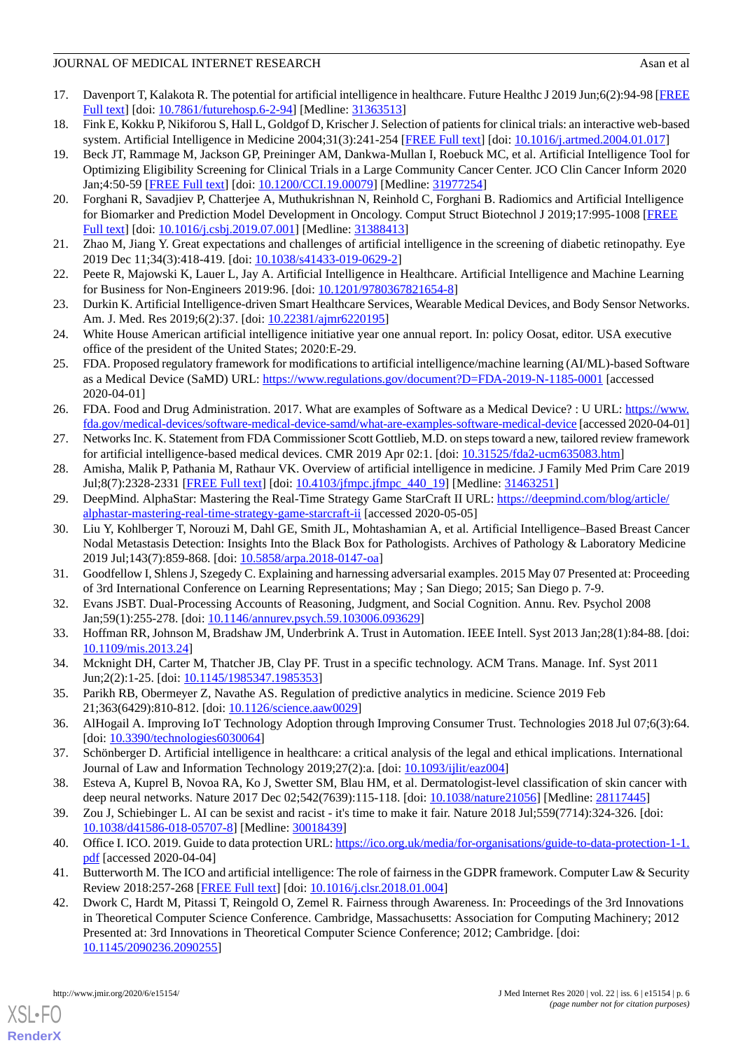- <span id="page-5-0"></span>17. Davenport T, Kalakota R. The potential for artificial intelligence in healthcare. Future Healthc J 2019 Jun;6(2):94-98 [\[FREE](http://europepmc.org/abstract/MED/31363513) [Full text\]](http://europepmc.org/abstract/MED/31363513) [doi: [10.7861/futurehosp.6-2-94](http://dx.doi.org/10.7861/futurehosp.6-2-94)] [Medline: [31363513](http://www.ncbi.nlm.nih.gov/entrez/query.fcgi?cmd=Retrieve&db=PubMed&list_uids=31363513&dopt=Abstract)]
- <span id="page-5-2"></span><span id="page-5-1"></span>18. Fink E, Kokku P, Nikiforou S, Hall L, Goldgof D, Krischer J. Selection of patients for clinical trials: an interactive web-based system. Artificial Intelligence in Medicine 2004;31(3):241-254 [[FREE Full text](https://doi.org/10.1016/j.artmed.2004.01.017)] [doi: [10.1016/j.artmed.2004.01.017](http://dx.doi.org/10.1016/j.artmed.2004.01.017)]
- 19. Beck JT, Rammage M, Jackson GP, Preininger AM, Dankwa-Mullan I, Roebuck MC, et al. Artificial Intelligence Tool for Optimizing Eligibility Screening for Clinical Trials in a Large Community Cancer Center. JCO Clin Cancer Inform 2020 Jan;4:50-59 [[FREE Full text\]](http://ascopubs.org/doi/full/10.1200/CCI.19.00079?url_ver=Z39.88-2003&rfr_id=ori:rid:crossref.org&rfr_dat=cr_pub%3dpubmed) [doi: [10.1200/CCI.19.00079](http://dx.doi.org/10.1200/CCI.19.00079)] [Medline: [31977254\]](http://www.ncbi.nlm.nih.gov/entrez/query.fcgi?cmd=Retrieve&db=PubMed&list_uids=31977254&dopt=Abstract)
- <span id="page-5-4"></span><span id="page-5-3"></span>20. Forghani R, Savadjiev P, Chatterjee A, Muthukrishnan N, Reinhold C, Forghani B. Radiomics and Artificial Intelligence for Biomarker and Prediction Model Development in Oncology. Comput Struct Biotechnol J 2019;17:995-1008 [[FREE](https://linkinghub.elsevier.com/retrieve/pii/S2001-0370(19)30138-2) [Full text\]](https://linkinghub.elsevier.com/retrieve/pii/S2001-0370(19)30138-2) [doi: [10.1016/j.csbj.2019.07.001](http://dx.doi.org/10.1016/j.csbj.2019.07.001)] [Medline: [31388413](http://www.ncbi.nlm.nih.gov/entrez/query.fcgi?cmd=Retrieve&db=PubMed&list_uids=31388413&dopt=Abstract)]
- <span id="page-5-5"></span>21. Zhao M, Jiang Y. Great expectations and challenges of artificial intelligence in the screening of diabetic retinopathy. Eye 2019 Dec 11;34(3):418-419. [doi: [10.1038/s41433-019-0629-2\]](http://dx.doi.org/10.1038/s41433-019-0629-2)
- <span id="page-5-6"></span>22. Peete R, Majowski K, Lauer L, Jay A. Artificial Intelligence in Healthcare. Artificial Intelligence and Machine Learning for Business for Non-Engineers 2019:96. [doi: [10.1201/9780367821654-8\]](http://dx.doi.org/10.1201/9780367821654-8)
- <span id="page-5-7"></span>23. Durkin K. Artificial Intelligence-driven Smart Healthcare Services, Wearable Medical Devices, and Body Sensor Networks. Am. J. Med. Res 2019;6(2):37. [doi: [10.22381/ajmr6220195](http://dx.doi.org/10.22381/ajmr6220195)]
- <span id="page-5-8"></span>24. White House American artificial intelligence initiative year one annual report. In: policy Oosat, editor. USA executive office of the president of the United States; 2020:E-29.
- <span id="page-5-9"></span>25. FDA. Proposed regulatory framework for modifications to artificial intelligence/machine learning (AI/ML)-based Software as a Medical Device (SaMD) URL: <https://www.regulations.gov/document?D=FDA-2019-N-1185-0001> [accessed 2020-04-01]
- <span id="page-5-11"></span><span id="page-5-10"></span>26. FDA. Food and Drug Administration. 2017. What are examples of Software as a Medical Device? : U URL: [https://www.](https://www.fda.gov/medical-devices/software-medical-device-samd/what-are-examples-software-medical-device) [fda.gov/medical-devices/software-medical-device-samd/what-are-examples-software-medical-device](https://www.fda.gov/medical-devices/software-medical-device-samd/what-are-examples-software-medical-device) [accessed 2020-04-01]
- <span id="page-5-12"></span>27. Networks Inc. K. Statement from FDA Commissioner Scott Gottlieb, M.D. on steps toward a new, tailored review framework for artificial intelligence-based medical devices. CMR 2019 Apr 02:1. [doi: [10.31525/fda2-ucm635083.htm](http://dx.doi.org/10.31525/fda2-ucm635083.htm)]
- <span id="page-5-13"></span>28. Amisha, Malik P, Pathania M, Rathaur VK. Overview of artificial intelligence in medicine. J Family Med Prim Care 2019 Jul;8(7):2328-2331 [[FREE Full text\]](http://www.jfmpc.com/article.asp?issn=2249-4863;year=2019;volume=8;issue=7;spage=2328;epage=2331;aulast=Amisha%2C) [doi: [10.4103/jfmpc.jfmpc\\_440\\_19\]](http://dx.doi.org/10.4103/jfmpc.jfmpc_440_19) [Medline: [31463251](http://www.ncbi.nlm.nih.gov/entrez/query.fcgi?cmd=Retrieve&db=PubMed&list_uids=31463251&dopt=Abstract)]
- 29. DeepMind. AlphaStar: Mastering the Real-Time Strategy Game StarCraft II URL: [https://deepmind.com/blog/article/](https://deepmind.com/blog/article/alphastar-mastering-real-time-strategy-game-starcraft-ii) [alphastar-mastering-real-time-strategy-game-starcraft-ii](https://deepmind.com/blog/article/alphastar-mastering-real-time-strategy-game-starcraft-ii) [accessed 2020-05-05]
- <span id="page-5-15"></span><span id="page-5-14"></span>30. Liu Y, Kohlberger T, Norouzi M, Dahl GE, Smith JL, Mohtashamian A, et al. Artificial Intelligence–Based Breast Cancer Nodal Metastasis Detection: Insights Into the Black Box for Pathologists. Archives of Pathology & Laboratory Medicine 2019 Jul;143(7):859-868. [doi: [10.5858/arpa.2018-0147-oa\]](http://dx.doi.org/10.5858/arpa.2018-0147-oa)
- <span id="page-5-16"></span>31. Goodfellow I, Shlens J, Szegedy C. Explaining and harnessing adversarial examples. 2015 May 07 Presented at: Proceeding of 3rd International Conference on Learning Representations; May ; San Diego; 2015; San Diego p. 7-9.
- <span id="page-5-17"></span>32. Evans JSBT. Dual-Processing Accounts of Reasoning, Judgment, and Social Cognition. Annu. Rev. Psychol 2008 Jan;59(1):255-278. [doi: [10.1146/annurev.psych.59.103006.093629\]](http://dx.doi.org/10.1146/annurev.psych.59.103006.093629)
- <span id="page-5-18"></span>33. Hoffman RR, Johnson M, Bradshaw JM, Underbrink A. Trust in Automation. IEEE Intell. Syst 2013 Jan;28(1):84-88. [doi: [10.1109/mis.2013.24](http://dx.doi.org/10.1109/mis.2013.24)]
- <span id="page-5-20"></span><span id="page-5-19"></span>34. Mcknight DH, Carter M, Thatcher JB, Clay PF. Trust in a specific technology. ACM Trans. Manage. Inf. Syst 2011 Jun;2(2):1-25. [doi: [10.1145/1985347.1985353](http://dx.doi.org/10.1145/1985347.1985353)]
- <span id="page-5-21"></span>35. Parikh RB, Obermeyer Z, Navathe AS. Regulation of predictive analytics in medicine. Science 2019 Feb 21;363(6429):810-812. [doi: [10.1126/science.aaw0029\]](http://dx.doi.org/10.1126/science.aaw0029)
- <span id="page-5-22"></span>36. AlHogail A. Improving IoT Technology Adoption through Improving Consumer Trust. Technologies 2018 Jul 07;6(3):64. [doi: [10.3390/technologies6030064\]](http://dx.doi.org/10.3390/technologies6030064)
- <span id="page-5-23"></span>37. Schönberger D. Artificial intelligence in healthcare: a critical analysis of the legal and ethical implications. International Journal of Law and Information Technology 2019;27(2):a. [doi: [10.1093/ijlit/eaz004](http://dx.doi.org/10.1093/ijlit/eaz004)]
- <span id="page-5-24"></span>38. Esteva A, Kuprel B, Novoa RA, Ko J, Swetter SM, Blau HM, et al. Dermatologist-level classification of skin cancer with deep neural networks. Nature 2017 Dec 02;542(7639):115-118. [doi: [10.1038/nature21056\]](http://dx.doi.org/10.1038/nature21056) [Medline: [28117445\]](http://www.ncbi.nlm.nih.gov/entrez/query.fcgi?cmd=Retrieve&db=PubMed&list_uids=28117445&dopt=Abstract)
- <span id="page-5-25"></span>39. Zou J, Schiebinger L. AI can be sexist and racist - it's time to make it fair. Nature 2018 Jul;559(7714):324-326. [doi: [10.1038/d41586-018-05707-8\]](http://dx.doi.org/10.1038/d41586-018-05707-8) [Medline: [30018439\]](http://www.ncbi.nlm.nih.gov/entrez/query.fcgi?cmd=Retrieve&db=PubMed&list_uids=30018439&dopt=Abstract)
- 40. Office I. ICO. 2019. Guide to data protection URL: [https://ico.org.uk/media/for-organisations/guide-to-data-protection-1-1.](https://ico.org.uk/media/for-organisations/guide-to-data-protection-1-1.pdf) [pdf](https://ico.org.uk/media/for-organisations/guide-to-data-protection-1-1.pdf) [accessed 2020-04-04]
- 41. Butterworth M. The ICO and artificial intelligence: The role of fairness in the GDPR framework. Computer Law & Security Review 2018:257-268 [\[FREE Full text](https://doi.org/10.1016/j.clsr.2018.01.004)] [doi: [10.1016/j.clsr.2018.01.004\]](http://dx.doi.org/10.1016/j.clsr.2018.01.004)
- 42. Dwork C, Hardt M, Pitassi T, Reingold O, Zemel R. Fairness through Awareness. In: Proceedings of the 3rd Innovations in Theoretical Computer Science Conference. Cambridge, Massachusetts: Association for Computing Machinery; 2012 Presented at: 3rd Innovations in Theoretical Computer Science Conference; 2012; Cambridge. [doi: [10.1145/2090236.2090255](http://dx.doi.org/10.1145/2090236.2090255)]

```
XSL•FO
RenderX
```